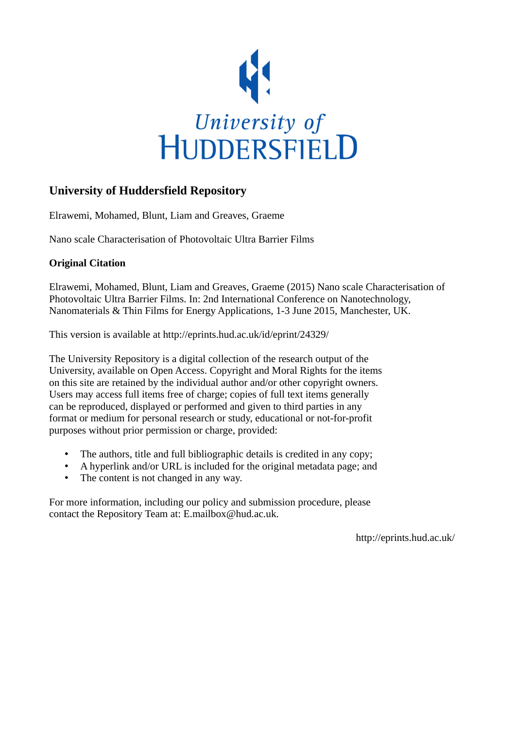

# **University of Huddersfield Repository**

Elrawemi, Mohamed, Blunt, Liam and Greaves, Graeme

Nano scale Characterisation of Photovoltaic Ultra Barrier Films

## **Original Citation**

Elrawemi, Mohamed, Blunt, Liam and Greaves, Graeme (2015) Nano scale Characterisation of Photovoltaic Ultra Barrier Films. In: 2nd International Conference on Nanotechnology, Nanomaterials & Thin Films for Energy Applications, 1-3 June 2015, Manchester, UK.

This version is available at http://eprints.hud.ac.uk/id/eprint/24329/

The University Repository is a digital collection of the research output of the University, available on Open Access. Copyright and Moral Rights for the items on this site are retained by the individual author and/or other copyright owners. Users may access full items free of charge; copies of full text items generally can be reproduced, displayed or performed and given to third parties in any format or medium for personal research or study, educational or not-for-profit purposes without prior permission or charge, provided:

- The authors, title and full bibliographic details is credited in any copy;
- A hyperlink and/or URL is included for the original metadata page; and
- The content is not changed in any way.

For more information, including our policy and submission procedure, please contact the Repository Team at: E.mailbox@hud.ac.uk.

http://eprints.hud.ac.uk/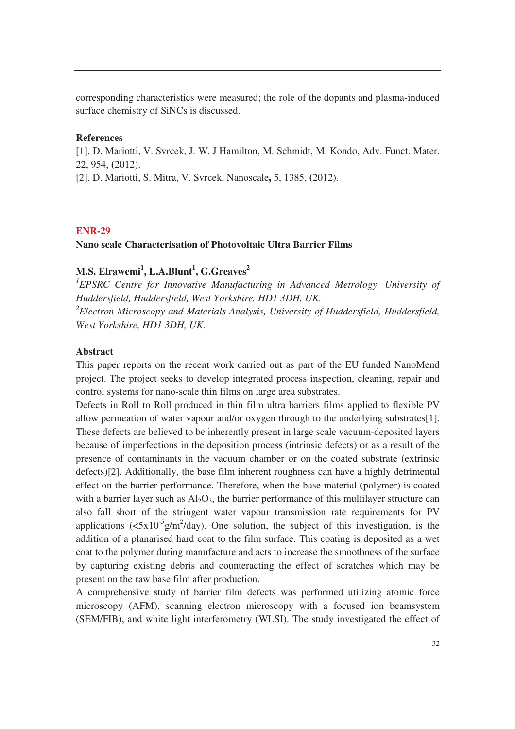corresponding characteristics were measured; the role of the dopants and plasma-induced surface chemistry of SiNCs is discussed.

## **References**

[1]. D. Mariotti, V. Svrcek, J. W. J Hamilton, M. Schmidt, M. Kondo, Adv. Funct. Mater. 22, 954, **(**2012).

[2]. D. Mariotti, S. Mitra, V. Svrcek, Nanoscale**,** 5, 1385, **(**2012).

### **ENR-29**

#### **Nano scale Characterisation of Photovoltaic Ultra Barrier Films**

## **M.S. Elrawemi<sup>1</sup> , L.A.Blunt<sup>1</sup> , G.Greaves<sup>2</sup>**

<sup>1</sup> EPSRC Centre for Innovative Manufacturing in Advanced Metrology, University of *Huddersfield, Huddersfield, West Yorkshire, HD1 3DH, UK. 2 Electron Microscopy and Materials Analysis, University of Huddersfield, Huddersfield, West Yorkshire, HD1 3DH, UK.* 

#### **Abstract**

This paper reports on the recent work carried out as part of the EU funded NanoMend project. The project seeks to develop integrated process inspection, cleaning, repair and control systems for nano-scale thin films on large area substrates.

Defects in Roll to Roll produced in thin film ultra barriers films applied to flexible PV allow permeation of water vapour and/or oxygen through to the underlying substrates[1]. These defects are believed to be inherently present in large scale vacuum-deposited layers because of imperfections in the deposition process (intrinsic defects) or as a result of the presence of contaminants in the vacuum chamber or on the coated substrate (extrinsic defects)[2]. Additionally, the base film inherent roughness can have a highly detrimental effect on the barrier performance. Therefore, when the base material (polymer) is coated with a barrier layer such as  $Al_2O_3$ , the barrier performance of this multilayer structure can also fall short of the stringent water vapour transmission rate requirements for PV applications ( $\langle 5x10^{-5}g/m^2/day$ ). One solution, the subject of this investigation, is the addition of a planarised hard coat to the film surface. This coating is deposited as a wet coat to the polymer during manufacture and acts to increase the smoothness of the surface by capturing existing debris and counteracting the effect of scratches which may be present on the raw base film after production.

A comprehensive study of barrier film defects was performed utilizing atomic force microscopy (AFM), scanning electron microscopy with a focused ion beamsystem (SEM/FIB), and white light interferometry (WLSI). The study investigated the effect of